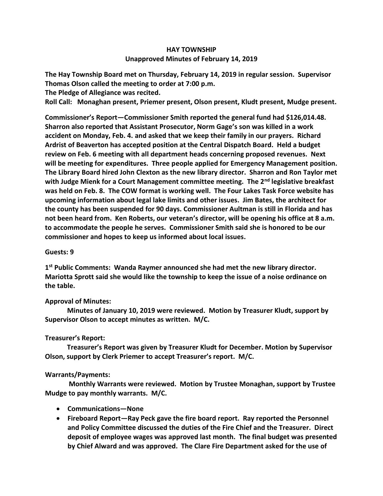# **HAY TOWNSHIP Unapproved Minutes of February 14, 2019**

**The Hay Township Board met on Thursday, February 14, 2019 in regular session. Supervisor Thomas Olson called the meeting to order at 7:00 p.m.** 

**The Pledge of Allegiance was recited.** 

**Roll Call: Monaghan present, Priemer present, Olson present, Kludt present, Mudge present.**

**Commissioner's Report—Commissioner Smith reported the general fund had \$126,014.48. Sharron also reported that Assistant Prosecutor, Norm Gage's son was killed in a work accident on Monday, Feb. 4. and asked that we keep their family in our prayers. Richard Ardrist of Beaverton has accepted position at the Central Dispatch Board. Held a budget review on Feb. 6 meeting with all department heads concerning proposed revenues. Next will be meeting for expenditures. Three people applied for Emergency Management position. The Library Board hired John Clexton as the new library director. Sharron and Ron Taylor met with Judge Mienk for a Court Management committee meeting. The 2nd legislative breakfast was held on Feb. 8. The COW format is working well. The Four Lakes Task Force website has upcoming information about legal lake limits and other issues. Jim Bates, the architect for the county has been suspended for 90 days. Commissioner Aultman is still in Florida and has not been heard from. Ken Roberts, our veteran's director, will be opening his office at 8 a.m. to accommodate the people he serves. Commissioner Smith said she is honored to be our commissioner and hopes to keep us informed about local issues.**

## **Guests: 9**

**1 st Public Comments: Wanda Raymer announced she had met the new library director. Mariotta Sprott said she would like the township to keep the issue of a noise ordinance on the table.**

## **Approval of Minutes:**

 **Minutes of January 10, 2019 were reviewed. Motion by Treasurer Kludt, support by Supervisor Olson to accept minutes as written. M/C.**

## **Treasurer's Report:**

 **Treasurer's Report was given by Treasurer Kludt for December. Motion by Supervisor Olson, support by Clerk Priemer to accept Treasurer's report. M/C.**

## **Warrants/Payments:**

 **Monthly Warrants were reviewed. Motion by Trustee Monaghan, support by Trustee Mudge to pay monthly warrants. M/C.** 

- **Communications—None**
- **Fireboard Report—Ray Peck gave the fire board report. Ray reported the Personnel and Policy Committee discussed the duties of the Fire Chief and the Treasurer. Direct deposit of employee wages was approved last month. The final budget was presented by Chief Alward and was approved. The Clare Fire Department asked for the use of**